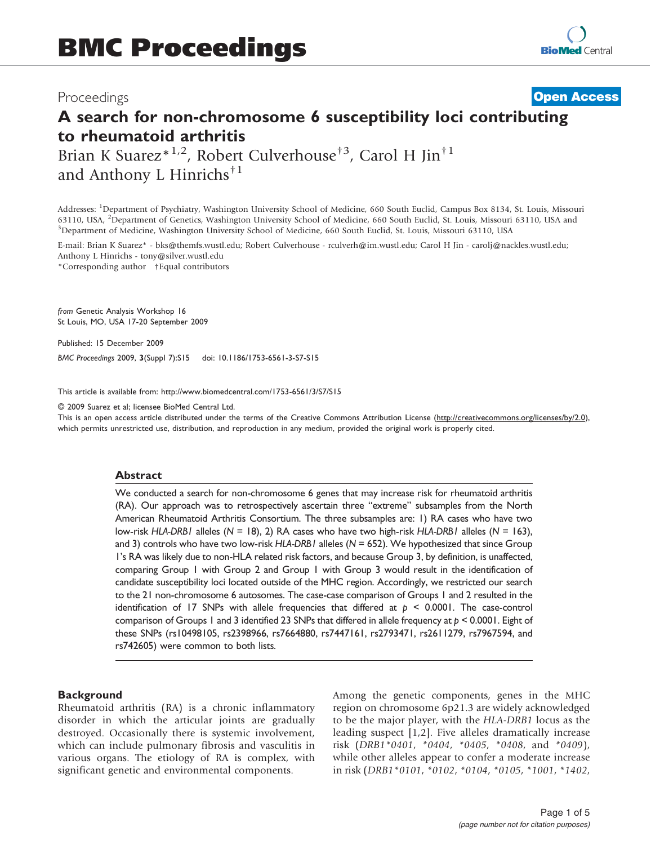## Proceedings

# A search for non-chromosome 6 susceptibility loci contributing to rheumatoid arthritis **[Open Access](http://www.biomedcentral.com/info/about/charter/)**

Brian K Suarez<sup>\*1,2</sup>, Robert Culverhouse<sup>†3</sup>, Carol H Jin<sup>†1</sup> and Anthony L Hinrichs<sup>†1</sup>

Addresses: <sup>1</sup>Department of Psychiatry, Washington University School of Medicine, 660 South Euclid, Campus Box 8134, St. Louis, Missouri 63110, USA, <sup>2</sup>Department of Genetics, Washington University School of Medicine, 660 South Euclid, St. Louis, Missouri 63110, USA and <sup>3</sup>Department of Medicine, Washington University School of Medicine, 660 South Euclid, S <sup>3</sup>Department of Medicine, Washington University School of Medicine, 660 South Euclid, St. Louis, Missouri 63110, USA

E-mail: Brian K Suarez\* - [bks@themfs.wustl.edu](mailto:bks@themfs.wustl.edu); Robert Culverhouse - [rculverh@im.wustl.edu](mailto:rculverh@im.wustl.edu); Carol H Jin - [carolj@nackles.wustl.edu](mailto:carolj@nackles.wustl.edu); Anthony L Hinrichs - [tony@silver.wustl.edu](mailto:tony@silver.wustl.edu)

\*Corresponding author †Equal contributors

from Genetic Analysis Workshop 16 St Louis, MO, USA 17-20 September 2009

Published: 15 December 2009

BMC Proceedings 2009, 3(Suppl 7):S15 doi: 10.1186/1753-6561-3-S7-S15

This article is available from: http://www.biomedcentral.com/1753-6561/3/S7/S15

© 2009 Suarez et al; licensee BioMed Central Ltd.

This is an open access article distributed under the terms of the Creative Commons Attribution License [\(http://creativecommons.org/licenses/by/2.0\)](http://creativecommons.org/licenses/by/2.0), which permits unrestricted use, distribution, and reproduction in any medium, provided the original work is properly cited.

#### **Abstract**

We conducted a search for non-chromosome 6 genes that may increase risk for rheumatoid arthritis (RA). Our approach was to retrospectively ascertain three "extreme" subsamples from the North American Rheumatoid Arthritis Consortium. The three subsamples are: 1) RA cases who have two low-risk HLA-DRB1 alleles ( $N = 18$ ), 2) RA cases who have two high-risk HLA-DRB1 alleles ( $N = 163$ ), and 3) controls who have two low-risk HLA-DRB1 alleles ( $N = 652$ ). We hypothesized that since Group 1's RA was likely due to non-HLA related risk factors, and because Group 3, by definition, is unaffected, comparing Group 1 with Group 2 and Group 1 with Group 3 would result in the identification of candidate susceptibility loci located outside of the MHC region. Accordingly, we restricted our search to the 21 non-chromosome 6 autosomes. The case-case comparison of Groups 1 and 2 resulted in the identification of 17 SNPs with allele frequencies that differed at  $p \le 0.0001$ . The case-control comparison of Groups 1 and 3 identified 23 SNPs that differed in allele frequency at  $p < 0.0001$ . Eight of these SNPs (rs10498105, rs2398966, rs7664880, rs7447161, rs2793471, rs2611279, rs7967594, and rs742605) were common to both lists.

#### **Background**

Rheumatoid arthritis (RA) is a chronic inflammatory disorder in which the articular joints are gradually destroyed. Occasionally there is systemic involvement, which can include pulmonary fibrosis and vasculitis in various organs. The etiology of RA is complex, with significant genetic and environmental components.

Among the genetic components, genes in the MHC region on chromosome 6p21.3 are widely acknowledged to be the major player, with the HLA-DRB1 locus as the leading suspect [\[1,2\]](#page-4-0). Five alleles dramatically increase risk (DRB1\*0401, \*0404, \*0405, \*0408, and \*0409), while other alleles appear to confer a moderate increase in risk (DRB1\*0101, \*0102, \*0104, \*0105, \*1001, \*1402,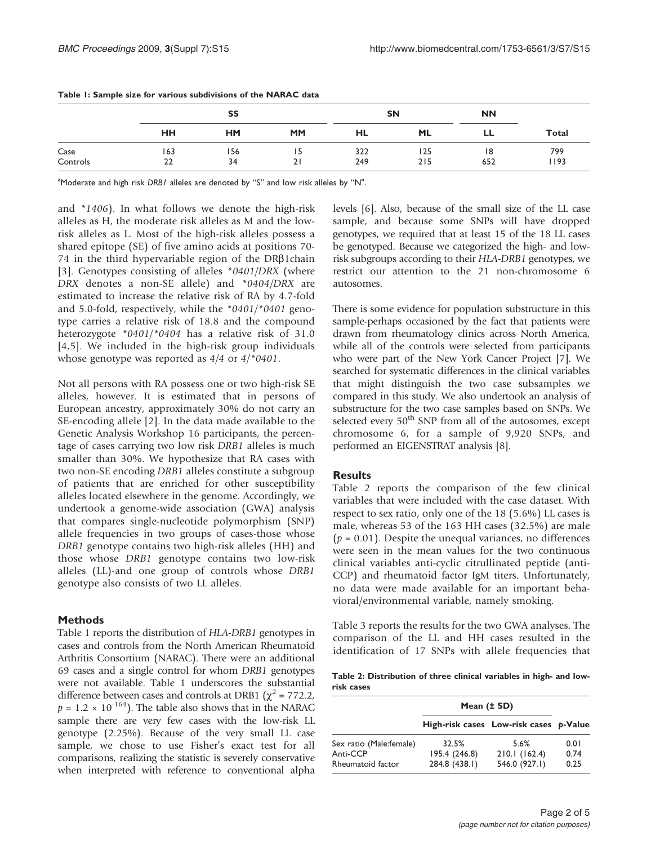|                  |           | SS        |           |            | <b>SN</b>  |          |             |
|------------------|-----------|-----------|-----------|------------|------------|----------|-------------|
|                  | <b>HH</b> | <b>HM</b> | <b>MM</b> | HL         | <b>ML</b>  | LL       | Total       |
| Case<br>Controls | 163<br>22 | 156<br>34 | 15<br>21  | 322<br>249 | 125<br>215 | 8<br>652 | 799<br>1193 |

Table 1: Sample size for various subdivisions of the NARAC data

<sup>a</sup>Moderate and high risk DRBI alleles are denoted by "S" and low risk alleles by "N".

and \*1406). In what follows we denote the high-risk alleles as H, the moderate risk alleles as M and the lowrisk alleles as L. Most of the high-risk alleles possess a shared epitope (SE) of five amino acids at positions 70- 74 in the third hypervariable region of the  $DR\beta1$ chain [[3](#page-4-0)]. Genotypes consisting of alleles \*0401/DRX (where DRX denotes a non-SE allele) and \*0404/DRX are estimated to increase the relative risk of RA by 4.7-fold and 5.0-fold, respectively, while the \*0401/\*0401 genotype carries a relative risk of 18.8 and the compound heterozygote \*0401/\*0404 has a relative risk of 31.0 [[4](#page-4-0),[5](#page-4-0)]. We included in the high-risk group individuals whose genotype was reported as 4/4 or 4/\*0401.

Not all persons with RA possess one or two high-risk SE alleles, however. It is estimated that in persons of European ancestry, approximately 30% do not carry an SE-encoding allele [[2](#page-4-0)]. In the data made available to the Genetic Analysis Workshop 16 participants, the percentage of cases carrying two low risk DRB1 alleles is much smaller than 30%. We hypothesize that RA cases with two non-SE encoding DRB1 alleles constitute a subgroup of patients that are enriched for other susceptibility alleles located elsewhere in the genome. Accordingly, we undertook a genome-wide association (GWA) analysis that compares single-nucleotide polymorphism (SNP) allele frequencies in two groups of cases-those whose DRB1 genotype contains two high-risk alleles (HH) and those whose DRB1 genotype contains two low-risk alleles (LL)-and one group of controls whose DRB1 genotype also consists of two LL alleles.

#### Methods

Table 1 reports the distribution of HLA-DRB1 genotypes in cases and controls from the North American Rheumatoid Arthritis Consortium (NARAC). There were an additional 69 cases and a single control for whom DRB1 genotypes were not available. Table 1 underscores the substantial difference between cases and controls at DRB1 ( $\chi^2$  = 772.2,  $p = 1.2 \times 10^{-164}$ ). The table also shows that in the NARAC sample there are very few cases with the low-risk LL genotype (2.25%). Because of the very small LL case sample, we chose to use Fisher's exact test for all comparisons, realizing the statistic is severely conservative when interpreted with reference to conventional alpha levels [\[6](#page-4-0)]. Also, because of the small size of the LL case sample, and because some SNPs will have dropped genotypes, we required that at least 15 of the 18 LL cases be genotyped. Because we categorized the high- and lowrisk subgroups according to their HLA-DRB1 genotypes, we restrict our attention to the 21 non-chromosome 6 autosomes.

There is some evidence for population substructure in this sample-perhaps occasioned by the fact that patients were drawn from rheumatology clinics across North America, while all of the controls were selected from participants who were part of the New York Cancer Project [[7\]](#page-4-0). We searched for systematic differences in the clinical variables that might distinguish the two case subsamples we compared in this study. We also undertook an analysis of substructure for the two case samples based on SNPs. We selected every 50<sup>th</sup> SNP from all of the autosomes, except chromosome 6, for a sample of 9,920 SNPs, and performed an EIGENSTRAT analysis [\[8](#page-4-0)].

### **Results**

Table 2 reports the comparison of the few clinical variables that were included with the case dataset. With respect to sex ratio, only one of the 18 (5.6%) LL cases is male, whereas 53 of the 163 HH cases (32.5%) are male  $(p = 0.01)$ . Despite the unequal variances, no differences were seen in the mean values for the two continuous clinical variables anti-cyclic citrullinated peptide (anti-CCP) and rheumatoid factor IgM titers. Unfortunately, no data were made available for an important behavioral/environmental variable, namely smoking.

[Table 3](#page-2-0) reports the results for the two GWA analyses. The comparison of the LL and HH cases resulted in the identification of 17 SNPs with allele frequencies that

| Table 2: Distribution of three clinical variables in high- and low- |  |  |  |  |
|---------------------------------------------------------------------|--|--|--|--|
| risk cases                                                          |  |  |  |  |

|                                     | Mean $(\pm SD)$        |                                        |              |
|-------------------------------------|------------------------|----------------------------------------|--------------|
|                                     |                        | High-risk cases Low-risk cases p-Value |              |
| Sex ratio (Male:female)<br>Anti-CCP | 32.5%<br>195.4 (246.8) | 5.6%<br>210.1(162.4)                   | 0.01<br>0.74 |
| Rheumatoid factor                   | 284.8 (438.1)          | 546.0 (927.1)                          | 0.25         |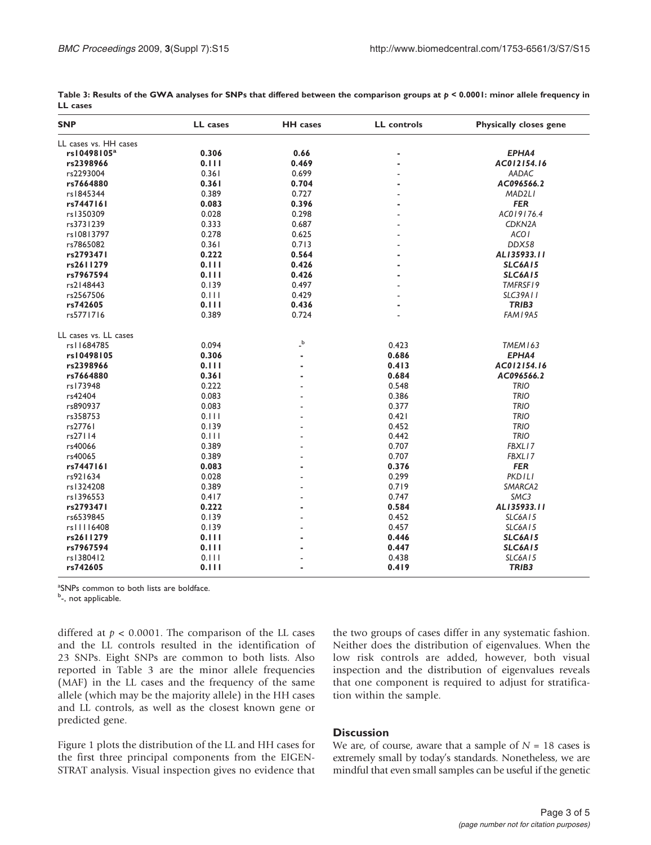| <b>SNP</b>              | LL cases | <b>HH</b> cases                  | <b>LL</b> controls | <b>Physically closes gene</b> |
|-------------------------|----------|----------------------------------|--------------------|-------------------------------|
| LL cases vs. HH cases   |          |                                  |                    |                               |
| rs10498105 <sup>a</sup> | 0.306    | 0.66                             | ٠                  | EPHA4                         |
| rs2398966               | 0.111    | 0.469                            | $\blacksquare$     | AC012154.16                   |
| rs2293004               | 0.361    | 0.699                            |                    | AADAC                         |
| rs7664880               | 0.361    | 0.704                            |                    | AC096566.2                    |
| rs1845344               | 0.389    | 0.727                            |                    | MAD2LI                        |
| rs7447161               | 0.083    | 0.396                            |                    | <b>FER</b>                    |
| rs1350309               | 0.028    | 0.298                            |                    | AC019176.4                    |
| rs3731239               | 0.333    | 0.687                            |                    | CDKN <sub>2</sub> A           |
| rs10813797              | 0.278    | 0.625                            |                    | <b>ACOI</b>                   |
| rs7865082               | 0.361    | 0.713                            |                    | DDX58                         |
| rs2793471               | 0.222    | 0.564                            | ۰                  | AL135933.11                   |
| rs2611279               | 0.111    | 0.426                            |                    | <b>SLC6A15</b>                |
| rs7967594               | 0.111    | 0.426                            |                    | <b>SLC6A15</b>                |
| rs2148443               | 0.139    | 0.497                            |                    | TMFRSF19                      |
| rs2567506               | 0.111    | 0.429                            |                    | <b>SLC39A11</b>               |
| rs742605                | 0.111    | 0.436                            |                    | TRIB3                         |
| rs5771716               | 0.389    | 0.724                            |                    | FAM I 9A5                     |
| LL cases vs. LL cases   |          |                                  |                    |                               |
| rs11684785              | 0.094    | $\overline{\phantom{a}}^{\rm b}$ | 0.423              | TMEM163                       |
| rs10498105              | 0.306    | ٠                                | 0.686              | EPHA4                         |
| rs2398966               | 0.111    | $\blacksquare$                   | 0.413              | AC012154.16                   |
| rs7664880               | 0.361    | ٠                                | 0.684              | AC096566.2                    |
| rs173948                | 0.222    |                                  | 0.548              | <b>TRIO</b>                   |
| rs42404                 | 0.083    | ٠                                | 0.386              | <b>TRIO</b>                   |
| rs890937                | 0.083    |                                  | 0.377              | <b>TRIO</b>                   |
| rs358753                | 0.111    |                                  | 0.421              | <b>TRIO</b>                   |
| rs27761                 | 0.139    | $\overline{a}$                   | 0.452              | <b>TRIO</b>                   |
| rs27114                 | 0.111    | $\overline{a}$                   | 0.442              | <b>TRIO</b>                   |
| rs40066                 | 0.389    |                                  | 0.707              | FBXL17                        |
| rs40065                 | 0.389    | $\overline{a}$                   | 0.707              | FBXL17                        |
| rs7447161               | 0.083    | ٠                                | 0.376              | <b>FER</b>                    |
| rs921634                | 0.028    |                                  | 0.299              | <b>PKDILI</b>                 |
| rs1324208               | 0.389    | $\overline{a}$                   | 0.719              | SMARCA2                       |
| rs1396553               | 0.417    | $\overline{a}$                   | 0.747              | SMC3                          |
| rs2793471               | 0.222    | $\blacksquare$                   | 0.584              | AL135933.11                   |
| rs6539845               | 0.139    |                                  | 0.452              | SLC6A15                       |
| rs         6408         | 0.139    | $\overline{\phantom{a}}$         | 0.457              | <b>SLC6A15</b>                |
| rs2611279               | 0.111    | $\blacksquare$                   | 0.446              | <b>SLC6A15</b>                |
| rs7967594               | 0.111    |                                  | 0.447              | <b>SLC6A15</b>                |
| rs1380412               | 0.111    |                                  | 0.438              | SLC6A15                       |
| rs742605                | 0.111    | $\blacksquare$                   | 0.419              | TRIB3                         |

<span id="page-2-0"></span>

| Table 3: Results of the GWA analyses for SNPs that differed between the comparison groups at $p < 0.0001$ : minor allele frequency in |  |  |  |
|---------------------------------------------------------------------------------------------------------------------------------------|--|--|--|
| LL cases                                                                                                                              |  |  |  |

<sup>a</sup>SNPs common to both lists are boldface.

<sup>b</sup>-, not applicable.

differed at  $p < 0.0001$ . The comparison of the LL cases and the LL controls resulted in the identification of 23 SNPs. Eight SNPs are common to both lists. Also reported in Table 3 are the minor allele frequencies (MAF) in the LL cases and the frequency of the same allele (which may be the majority allele) in the HH cases and LL controls, as well as the closest known gene or predicted gene.

[Figure 1](#page-3-0) plots the distribution of the LL and HH cases for the first three principal components from the EIGEN-STRAT analysis. Visual inspection gives no evidence that

the two groups of cases differ in any systematic fashion. Neither does the distribution of eigenvalues. When the low risk controls are added, however, both visual inspection and the distribution of eigenvalues reveals that one component is required to adjust for stratification within the sample.

#### **Discussion**

We are, of course, aware that a sample of  $N = 18$  cases is extremely small by today's standards. Nonetheless, we are mindful that even small samples can be useful if the genetic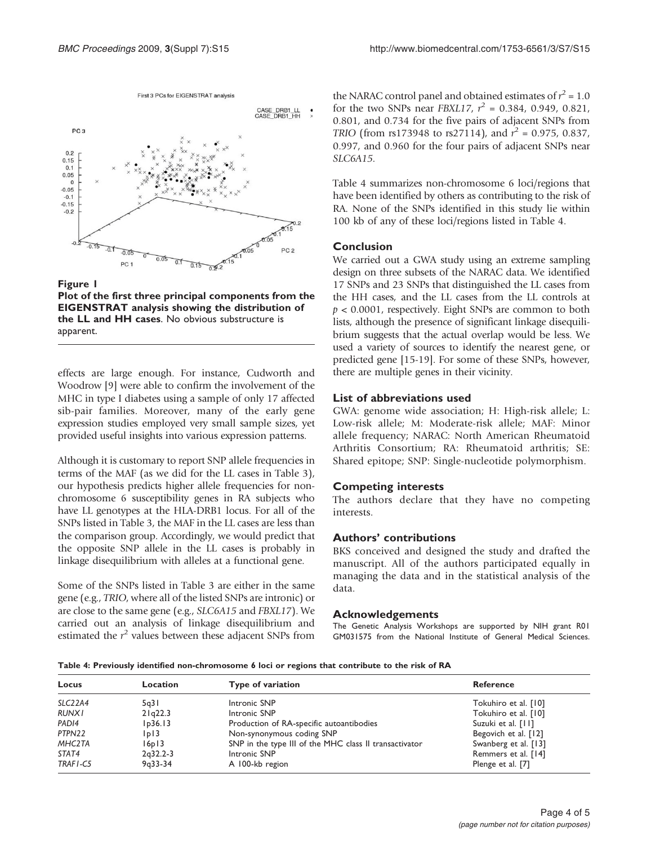First 3 PCs for EIGENSTRAT analysis

<span id="page-3-0"></span>

Figure 1 Plot of the first three principal components from the EIGENSTRAT analysis showing the distribution of the LL and HH cases. No obvious substructure is apparent.

effects are large enough. For instance, Cudworth and Woodrow [\[9\]](#page-4-0) were able to confirm the involvement of the MHC in type I diabetes using a sample of only 17 affected sib-pair families. Moreover, many of the early gene expression studies employed very small sample sizes, yet provided useful insights into various expression patterns.

Although it is customary to report SNP allele frequencies in terms of the MAF (as we did for the LL cases in [Table 3\)](#page-2-0), our hypothesis predicts higher allele frequencies for nonchromosome 6 susceptibility genes in RA subjects who have LL genotypes at the HLA-DRB1 locus. For all of the SNPs listed in [Table 3,](#page-2-0) the MAF in the LL cases are less than the comparison group. Accordingly, we would predict that the opposite SNP allele in the LL cases is probably in linkage disequilibrium with alleles at a functional gene.

Some of the SNPs listed in [Table 3](#page-2-0) are either in the same gene (e.g., TRIO, where all of the listed SNPs are intronic) or are close to the same gene (e.g., SLC6A15 and FBXL17). We carried out an analysis of linkage disequilibrium and estimated the  $r^2$  values between these adjacent SNPs from

the NARAC control panel and obtained estimates of  $r^2 = 1.0$ for the two SNPs near *FBXL17*,  $r^2 = 0.384$ , 0.949, 0.821, 0.801, and 0.734 for the five pairs of adjacent SNPs from TRIO (from rs173948 to rs27114), and  $r^2 = 0.975$ , 0.837, 0.997, and 0.960 for the four pairs of adjacent SNPs near SLC6A15.

Table 4 summarizes non-chromosome 6 loci/regions that have been identified by others as contributing to the risk of RA. None of the SNPs identified in this study lie within 100 kb of any of these loci/regions listed in Table 4.

#### Conclusion

We carried out a GWA study using an extreme sampling design on three subsets of the NARAC data. We identified 17 SNPs and 23 SNPs that distinguished the LL cases from the HH cases, and the LL cases from the LL controls at  $p < 0.0001$ , respectively. Eight SNPs are common to both lists, although the presence of significant linkage disequilibrium suggests that the actual overlap would be less. We used a variety of sources to identify the nearest gene, or predicted gene [[15-19\]](#page-4-0). For some of these SNPs, however, there are multiple genes in their vicinity.

#### List of abbreviations used

GWA: genome wide association; H: High-risk allele; L: Low-risk allele; M: Moderate-risk allele; MAF: Minor allele frequency; NARAC: North American Rheumatoid Arthritis Consortium; RA: Rheumatoid arthritis; SE: Shared epitope; SNP: Single-nucleotide polymorphism.

#### Competing interests

The authors declare that they have no competing interests.

#### Authors' contributions

BKS conceived and designed the study and drafted the manuscript. All of the authors participated equally in managing the data and in the statistical analysis of the data.

#### Acknowledgements

The Genetic Analysis Workshops are supported by NIH grant R01 GM031575 from the National Institute of General Medical Sciences.

Table 4: Previously identified non-chromosome 6 loci or regions that contribute to the risk of RA

| Locus             | Location   | Type of variation                                      | <b>Reference</b>     |
|-------------------|------------|--------------------------------------------------------|----------------------|
| SLC22A4           | 5q31       | Intronic SNP                                           | Tokuhiro et al. [10] |
| <b>RUNX1</b>      | 21q22.3    | Intronic SNP                                           | Tokuhiro et al. [10] |
| PAD <sub>14</sub> | lp36.13    | Production of RA-specific autoantibodies               | Suzuki et al. [11]   |
| PTPN22            | p          | Non-synonymous coding SNP                              | Begovich et al. [12] |
| MHC2TA            | 16p13      | SNP in the type III of the MHC class II transactivator | Swanberg et al. [13] |
| STAT4             | $2q32.2-3$ | Intronic SNP                                           | Remmers et al. [14]  |
| TRAF1-C5          | $9q33-34$  | A 100-kb region                                        | Plenge et al. [7]    |